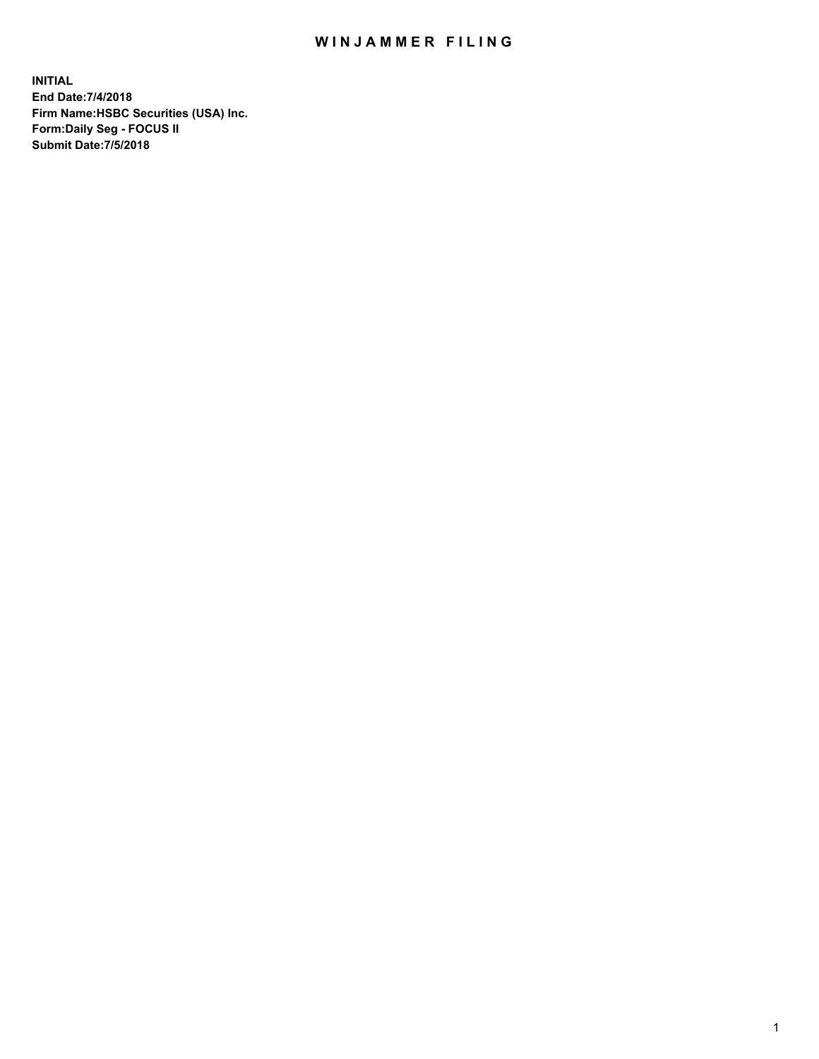## WIN JAMMER FILING

**INITIAL End Date:7/4/2018 Firm Name:HSBC Securities (USA) Inc. Form:Daily Seg - FOCUS II Submit Date:7/5/2018**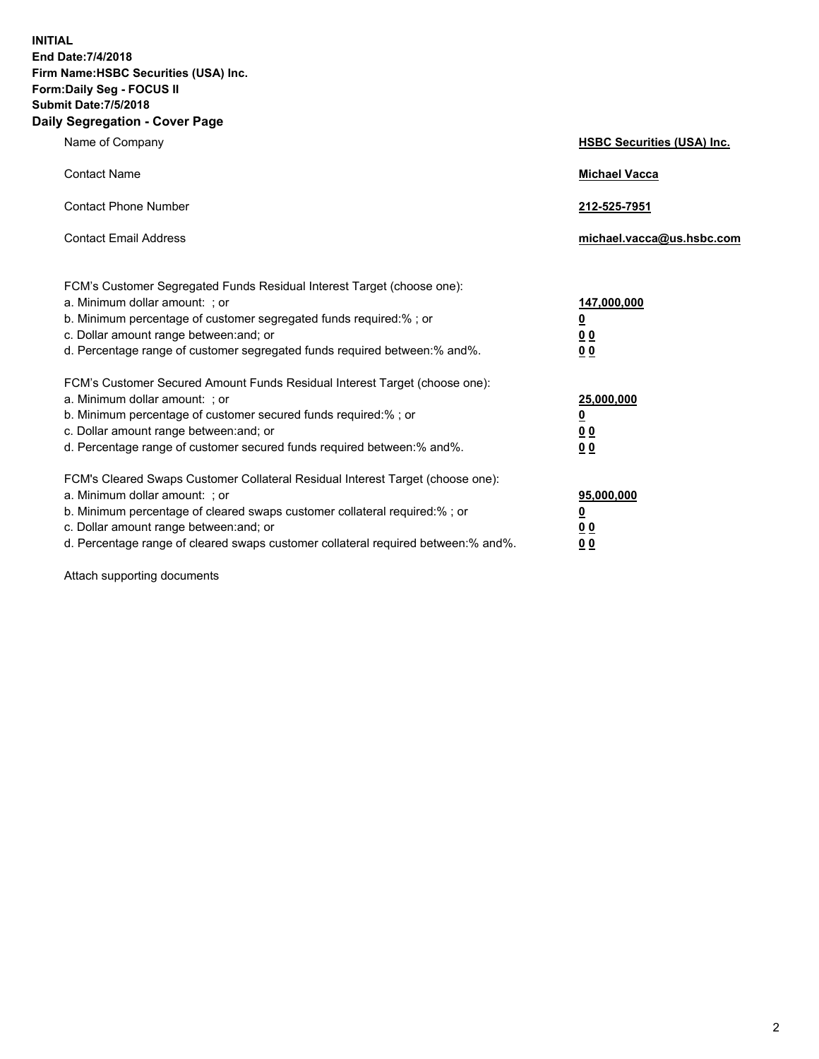**INITIAL End Date:7/4/2018 Firm Name:HSBC Securities (USA) Inc. Form:Daily Seg - FOCUS II Submit Date:7/5/2018 Daily Segregation - Cover Page**

| Name of Company                                                                                                                                                                                                                                                                                                                | <b>HSBC Securities (USA) Inc.</b>                              |
|--------------------------------------------------------------------------------------------------------------------------------------------------------------------------------------------------------------------------------------------------------------------------------------------------------------------------------|----------------------------------------------------------------|
| <b>Contact Name</b>                                                                                                                                                                                                                                                                                                            | <b>Michael Vacca</b>                                           |
| <b>Contact Phone Number</b>                                                                                                                                                                                                                                                                                                    | 212-525-7951                                                   |
| <b>Contact Email Address</b>                                                                                                                                                                                                                                                                                                   | michael.vacca@us.hsbc.com                                      |
| FCM's Customer Segregated Funds Residual Interest Target (choose one):<br>a. Minimum dollar amount: : or<br>b. Minimum percentage of customer segregated funds required:%; or<br>c. Dollar amount range between: and; or<br>d. Percentage range of customer segregated funds required between:% and%.                          | 147,000,000<br>$\overline{\mathbf{0}}$<br>0 <sub>0</sub><br>00 |
| FCM's Customer Secured Amount Funds Residual Interest Target (choose one):<br>a. Minimum dollar amount: ; or<br>b. Minimum percentage of customer secured funds required:%; or<br>c. Dollar amount range between: and; or<br>d. Percentage range of customer secured funds required between:% and%.                            | 25,000,000<br><u>0</u><br>0 <sub>0</sub><br>0 <sub>0</sub>     |
| FCM's Cleared Swaps Customer Collateral Residual Interest Target (choose one):<br>a. Minimum dollar amount: ; or<br>b. Minimum percentage of cleared swaps customer collateral required:% ; or<br>c. Dollar amount range between: and; or<br>d. Percentage range of cleared swaps customer collateral required between:% and%. | 95,000,000<br><u>0</u><br>00<br><u>00</u>                      |

Attach supporting documents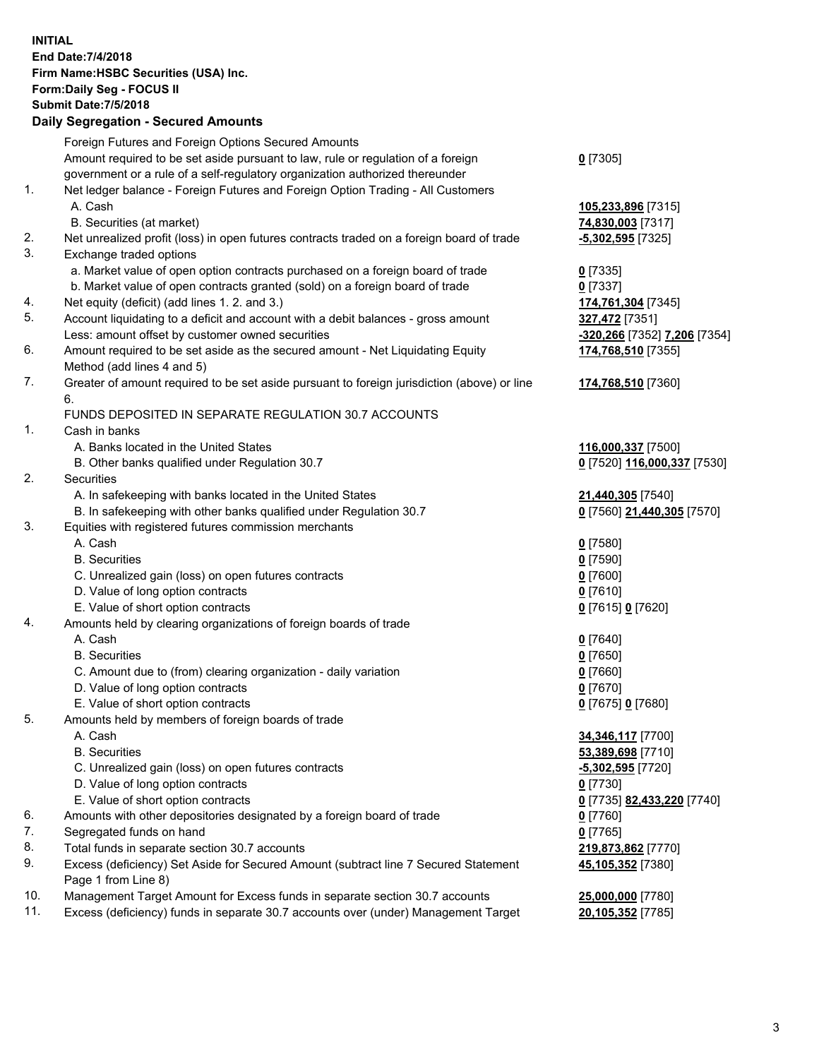**INITIAL End Date:7/4/2018 Firm Name:HSBC Securities (USA) Inc. Form:Daily Seg - FOCUS II Submit Date:7/5/2018 Daily Segregation - Secured Amounts** Foreign Futures and Foreign Options Secured Amounts Amount required to be set aside pursuant to law, rule or regulation of a foreign government or a rule of a self-regulatory organization authorized thereunder **0** [7305] 1. Net ledger balance - Foreign Futures and Foreign Option Trading - All Customers A. Cash **105,233,896** [7315] B. Securities (at market) **74,830,003** [7317] 2. Net unrealized profit (loss) in open futures contracts traded on a foreign board of trade **-5,302,595** [7325] 3. Exchange traded options a. Market value of open option contracts purchased on a foreign board of trade **0** [7335] b. Market value of open contracts granted (sold) on a foreign board of trade **0** [7337] 4. Net equity (deficit) (add lines 1. 2. and 3.) **174,761,304** [7345] 5. Account liquidating to a deficit and account with a debit balances - gross amount **327,472** [7351] Less: amount offset by customer owned securities **-320,266** [7352] **7,206** [7354] 6. Amount required to be set aside as the secured amount - Net Liquidating Equity Method (add lines 4 and 5) **174,768,510** [7355] 7. Greater of amount required to be set aside pursuant to foreign jurisdiction (above) or line 6. **174,768,510** [7360] FUNDS DEPOSITED IN SEPARATE REGULATION 30.7 ACCOUNTS 1. Cash in banks A. Banks located in the United States **116,000,337** [7500] B. Other banks qualified under Regulation 30.7 **0** [7520] **116,000,337** [7530] 2. Securities A. In safekeeping with banks located in the United States **21,440,305** [7540] B. In safekeeping with other banks qualified under Regulation 30.7 **0** [7560] **21,440,305** [7570] 3. Equities with registered futures commission merchants A. Cash **0** [7580] B. Securities **0** [7590] C. Unrealized gain (loss) on open futures contracts **0** [7600] D. Value of long option contracts **0** [7610] E. Value of short option contracts **0** [7615] **0** [7620] 4. Amounts held by clearing organizations of foreign boards of trade A. Cash **0** [7640] B. Securities **0** [7650] C. Amount due to (from) clearing organization - daily variation **0** [7660] D. Value of long option contracts **0** [7670] E. Value of short option contracts **0** [7675] **0** [7680] 5. Amounts held by members of foreign boards of trade A. Cash **34,346,117** [7700] B. Securities **53,389,698** [7710] C. Unrealized gain (loss) on open futures contracts **-5,302,595** [7720] D. Value of long option contracts **0** [7730] E. Value of short option contracts **0** [7735] **82,433,220** [7740] 6. Amounts with other depositories designated by a foreign board of trade **0** [7760] 7. Segregated funds on hand **0** [7765] 8. Total funds in separate section 30.7 accounts **219,873,862** [7770] 9. Excess (deficiency) Set Aside for Secured Amount (subtract line 7 Secured Statement Page 1 from Line 8) **45,105,352** [7380] 10. Management Target Amount for Excess funds in separate section 30.7 accounts **25,000,000** [7780] 11. Excess (deficiency) funds in separate 30.7 accounts over (under) Management Target **20,105,352** [7785]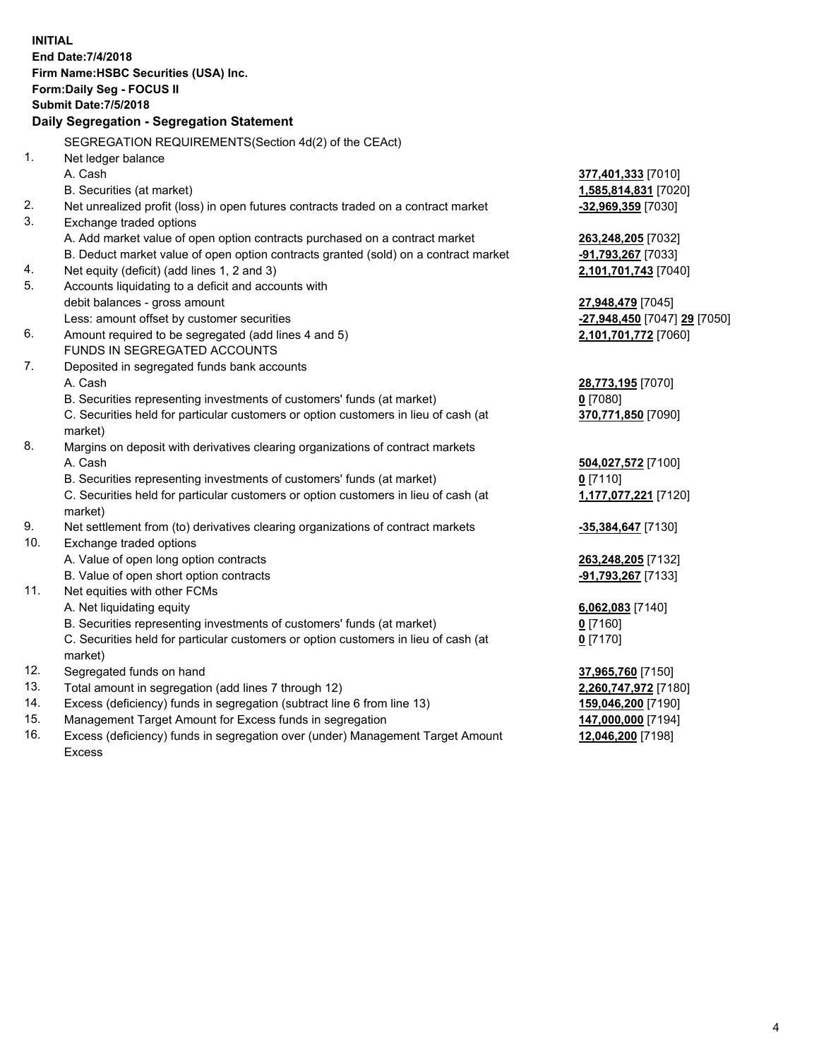|     | <b>INITIAL</b>                                                                                 |                              |
|-----|------------------------------------------------------------------------------------------------|------------------------------|
|     | End Date: 7/4/2018                                                                             |                              |
|     | Firm Name: HSBC Securities (USA) Inc.                                                          |                              |
|     | Form: Daily Seg - FOCUS II                                                                     |                              |
|     | <b>Submit Date: 7/5/2018</b>                                                                   |                              |
|     | Daily Segregation - Segregation Statement                                                      |                              |
|     | SEGREGATION REQUIREMENTS (Section 4d(2) of the CEAct)                                          |                              |
| 1.  | Net ledger balance                                                                             |                              |
|     | A. Cash                                                                                        | 377,401,333 [7010]           |
|     | B. Securities (at market)                                                                      | 1,585,814,831 [7020]         |
| 2.  | Net unrealized profit (loss) in open futures contracts traded on a contract market             | -32,969,359 [7030]           |
| 3.  | Exchange traded options                                                                        |                              |
|     | A. Add market value of open option contracts purchased on a contract market                    | 263,248,205 [7032]           |
|     | B. Deduct market value of open option contracts granted (sold) on a contract market            | -91,793,267 [7033]           |
| 4.  | Net equity (deficit) (add lines 1, 2 and 3)                                                    | 2,101,701,743 [7040]         |
| 5.  | Accounts liquidating to a deficit and accounts with                                            |                              |
|     | debit balances - gross amount                                                                  | 27,948,479 [7045]            |
|     | Less: amount offset by customer securities                                                     | -27,948,450 [7047] 29 [7050] |
| 6.  | Amount required to be segregated (add lines 4 and 5)                                           | 2,101,701,772 [7060]         |
|     | FUNDS IN SEGREGATED ACCOUNTS                                                                   |                              |
| 7.  | Deposited in segregated funds bank accounts                                                    |                              |
|     | A. Cash                                                                                        | 28,773,195 [7070]            |
|     | B. Securities representing investments of customers' funds (at market)                         | $0$ [7080]                   |
|     | C. Securities held for particular customers or option customers in lieu of cash (at            | 370,771,850 [7090]           |
|     | market)                                                                                        |                              |
| 8.  | Margins on deposit with derivatives clearing organizations of contract markets                 |                              |
|     | A. Cash                                                                                        | 504,027,572 [7100]           |
|     | B. Securities representing investments of customers' funds (at market)                         | $0$ [7110]                   |
|     | C. Securities held for particular customers or option customers in lieu of cash (at<br>market) | 1,177,077,221 [7120]         |
| 9.  | Net settlement from (to) derivatives clearing organizations of contract markets                | -35,384,647 [7130]           |
| 10. | Exchange traded options                                                                        |                              |
|     | A. Value of open long option contracts                                                         | 263,248,205 [7132]           |
|     | B. Value of open short option contracts                                                        | -91,793,267 [7133]           |
| 11. | Net equities with other FCMs                                                                   |                              |
|     | A. Net liquidating equity                                                                      | 6,062,083 [7140]             |
|     | B. Securities representing investments of customers' funds (at market)                         | $0$ [7160]                   |
|     | C. Securities held for particular customers or option customers in lieu of cash (at            | $0$ [7170]                   |
|     | market)                                                                                        |                              |
| 12. | Segregated funds on hand                                                                       | 37,965,760 [7150]            |
| 13. | Total amount in segregation (add lines 7 through 12)                                           | 2,260,747,972 [7180]         |
| 14. | Excess (deficiency) funds in segregation (subtract line 6 from line 13)                        | 159,046,200 [7190]           |
| 15. | Management Target Amount for Excess funds in segregation                                       | 147,000,000 [7194]           |
| 16. | Excess (deficiency) funds in segregation over (under) Management Target Amount                 | 12,046,200 [7198]            |

16. Excess (deficiency) funds in segregation over (under) Management Target Amount Excess